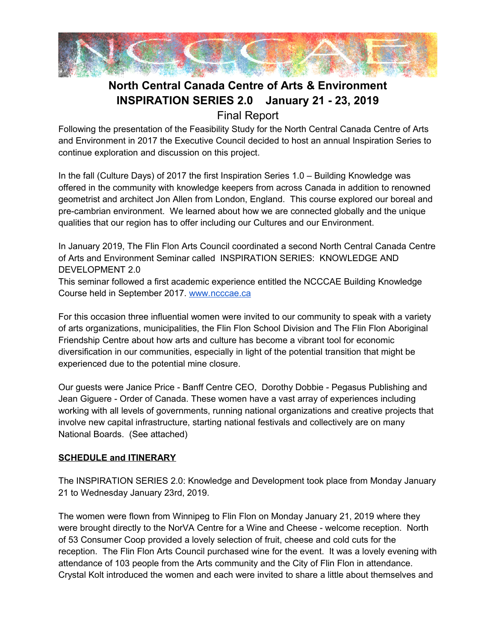

# **North Central Canada Centre of Arts & Environment INSPIRATION SERIES 2.0 January 21 - 23, 2019**

Final Report

Following the presentation of the Feasibility Study for the North Central Canada Centre of Arts and Environment in 2017 the Executive Council decided to host an annual Inspiration Series to continue exploration and discussion on this project.

In the fall (Culture Days) of 2017 the first Inspiration Series 1.0 – Building Knowledge was offered in the community with knowledge keepers from across Canada in addition to renowned geometrist and architect Jon Allen from London, England. This course explored our boreal and pre-cambrian environment. We learned about how we are connected globally and the unique qualities that our region has to offer including our Cultures and our Environment.

In January 2019, The Flin Flon Arts Council coordinated a second North Central Canada Centre of Arts and Environment Seminar called INSPIRATION SERIES: KNOWLEDGE AND DEVELOPMENT 2.0

This seminar followed a first academic experience entitled the NCCCAE Building Knowledge Course held in September 2017. [www.ncccae.ca](http://www.ncccae.ca/)

For this occasion three influential women were invited to our community to speak with a variety of arts organizations, municipalities, the Flin Flon School Division and The Flin Flon Aboriginal Friendship Centre about how arts and culture has become a vibrant tool for economic diversification in our communities, especially in light of the potential transition that might be experienced due to the potential mine closure.

Our guests were Janice Price - Banff Centre CEO, Dorothy Dobbie - Pegasus Publishing and Jean Giguere - Order of Canada. These women have a vast array of experiences including working with all levels of governments, running national organizations and creative projects that involve new capital infrastructure, starting national festivals and collectively are on many National Boards. (See attached)

#### **SCHEDULE and ITINERARY**

The INSPIRATION SERIES 2.0: Knowledge and Development took place from Monday January 21 to Wednesday January 23rd, 2019.

The women were flown from Winnipeg to Flin Flon on Monday January 21, 2019 where they were brought directly to the NorVA Centre for a Wine and Cheese - welcome reception. North of 53 Consumer Coop provided a lovely selection of fruit, cheese and cold cuts for the reception. The Flin Flon Arts Council purchased wine for the event. It was a lovely evening with attendance of 103 people from the Arts community and the City of Flin Flon in attendance. Crystal Kolt introduced the women and each were invited to share a little about themselves and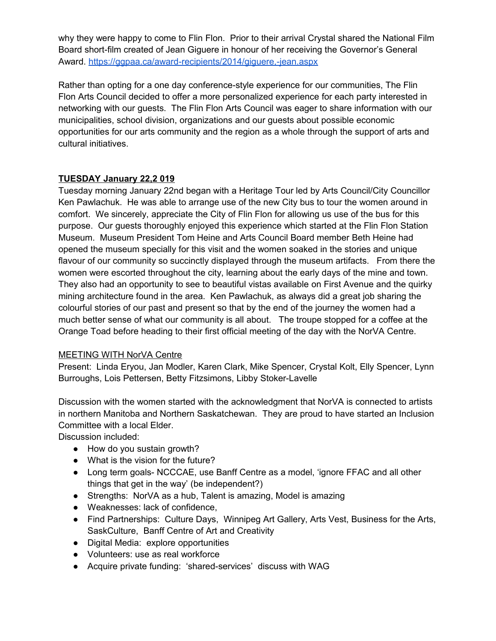why they were happy to come to Flin Flon. Prior to their arrival Crystal shared the National Film Board short-film created of Jean Giguere in honour of her receiving the Governor's General Award.<https://ggpaa.ca/award-recipients/2014/giguere,-jean.aspx>

Rather than opting for a one day conference-style experience for our communities, The Flin Flon Arts Council decided to offer a more personalized experience for each party interested in networking with our guests. The Flin Flon Arts Council was eager to share information with our municipalities, school division, organizations and our guests about possible economic opportunities for our arts community and the region as a whole through the support of arts and cultural initiatives.

#### **TUESDAY January 22,2 019**

Tuesday morning January 22nd began with a Heritage Tour led by Arts Council/City Councillor Ken Pawlachuk. He was able to arrange use of the new City bus to tour the women around in comfort. We sincerely, appreciate the City of Flin Flon for allowing us use of the bus for this purpose. Our guests thoroughly enjoyed this experience which started at the Flin Flon Station Museum. Museum President Tom Heine and Arts Council Board member Beth Heine had opened the museum specially for this visit and the women soaked in the stories and unique flavour of our community so succinctly displayed through the museum artifacts. From there the women were escorted throughout the city, learning about the early days of the mine and town. They also had an opportunity to see to beautiful vistas available on First Avenue and the quirky mining architecture found in the area. Ken Pawlachuk, as always did a great job sharing the colourful stories of our past and present so that by the end of the journey the women had a much better sense of what our community is all about. The troupe stopped for a coffee at the Orange Toad before heading to their first official meeting of the day with the NorVA Centre.

#### MEETING WITH NorVA Centre

Present: Linda Eryou, Jan Modler, Karen Clark, Mike Spencer, Crystal Kolt, Elly Spencer, Lynn Burroughs, Lois Pettersen, Betty Fitzsimons, Libby Stoker-Lavelle

Discussion with the women started with the acknowledgment that NorVA is connected to artists in northern Manitoba and Northern Saskatchewan. They are proud to have started an Inclusion Committee with a local Elder.

Discussion included:

- How do you sustain growth?
- What is the vision for the future?
- Long term goals- NCCCAE, use Banff Centre as a model, 'ignore FFAC and all other things that get in the way' (be independent?)
- Strengths: NorVA as a hub, Talent is amazing, Model is amazing
- Weaknesses: lack of confidence,
- Find Partnerships: Culture Days, Winnipeg Art Gallery, Arts Vest, Business for the Arts, SaskCulture, Banff Centre of Art and Creativity
- Digital Media: explore opportunities
- Volunteers: use as real workforce
- Acquire private funding: 'shared-services' discuss with WAG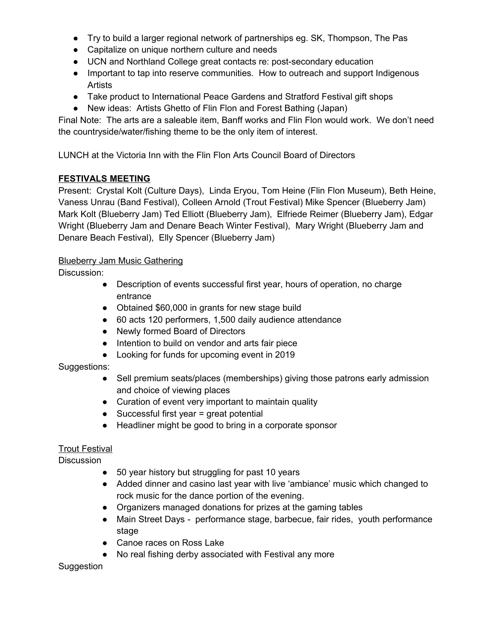- Try to build a larger regional network of partnerships eg. SK, Thompson, The Pas
- Capitalize on unique northern culture and needs
- UCN and Northland College great contacts re: post-secondary education
- Important to tap into reserve communities. How to outreach and support Indigenous Artists
- Take product to International Peace Gardens and Stratford Festival gift shops
- New ideas: Artists Ghetto of Flin Flon and Forest Bathing (Japan)

Final Note: The arts are a saleable item, Banff works and Flin Flon would work. We don't need the countryside/water/fishing theme to be the only item of interest.

LUNCH at the Victoria Inn with the Flin Flon Arts Council Board of Directors

## **FESTIVALS MEETING**

Present: Crystal Kolt (Culture Days), Linda Eryou, Tom Heine (Flin Flon Museum), Beth Heine, Vaness Unrau (Band Festival), Colleen Arnold (Trout Festival) Mike Spencer (Blueberry Jam) Mark Kolt (Blueberry Jam) Ted Elliott (Blueberry Jam), Elfriede Reimer (Blueberry Jam), Edgar Wright (Blueberry Jam and Denare Beach Winter Festival), Mary Wright (Blueberry Jam and Denare Beach Festival), Elly Spencer (Blueberry Jam)

#### Blueberry Jam Music Gathering

Discussion:

- Description of events successful first year, hours of operation, no charge entrance
- Obtained \$60,000 in grants for new stage build
- 60 acts 120 performers, 1,500 daily audience attendance
- Newly formed Board of Directors
- Intention to build on vendor and arts fair piece
- Looking for funds for upcoming event in 2019

#### Suggestions:

- Sell premium seats/places (memberships) giving those patrons early admission and choice of viewing places
- Curation of event very important to maintain quality
- $\bullet$  Successful first year = great potential
- Headliner might be good to bring in a corporate sponsor

# Trout Festival

**Discussion** 

- 50 year history but struggling for past 10 years
- Added dinner and casino last year with live 'ambiance' music which changed to rock music for the dance portion of the evening.
- Organizers managed donations for prizes at the gaming tables
- Main Street Days performance stage, barbecue, fair rides, youth performance stage
- Canoe races on Ross Lake
- No real fishing derby associated with Festival any more

Suggestion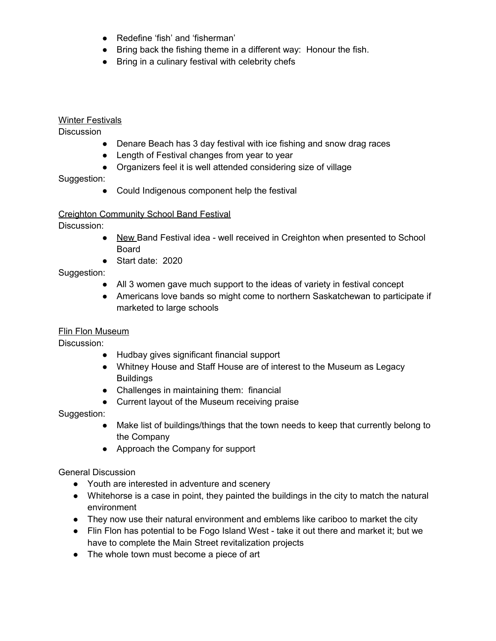- Redefine 'fish' and 'fisherman'
- Bring back the fishing theme in a different way: Honour the fish.
- Bring in a culinary festival with celebrity chefs

#### Winter Festivals

**Discussion** 

- Denare Beach has 3 day festival with ice fishing and snow drag races
- Length of Festival changes from year to year
- Organizers feel it is well attended considering size of village

Suggestion:

● Could Indigenous component help the festival

#### Creighton Community School Band Festival

Discussion:

- New Band Festival idea well received in Creighton when presented to School Board
- Start date: 2020

#### Suggestion:

- All 3 women gave much support to the ideas of variety in festival concept
- Americans love bands so might come to northern Saskatchewan to participate if marketed to large schools

#### Flin Flon Museum

Discussion:

- Hudbay gives significant financial support
- Whitney House and Staff House are of interest to the Museum as Legacy Buildings
- Challenges in maintaining them: financial
- Current layout of the Museum receiving praise

Suggestion:

- Make list of buildings/things that the town needs to keep that currently belong to the Company
- Approach the Company for support

General Discussion

- Youth are interested in adventure and scenery
- Whitehorse is a case in point, they painted the buildings in the city to match the natural environment
- They now use their natural environment and emblems like cariboo to market the city
- Flin Flon has potential to be Fogo Island West take it out there and market it; but we have to complete the Main Street revitalization projects
- The whole town must become a piece of art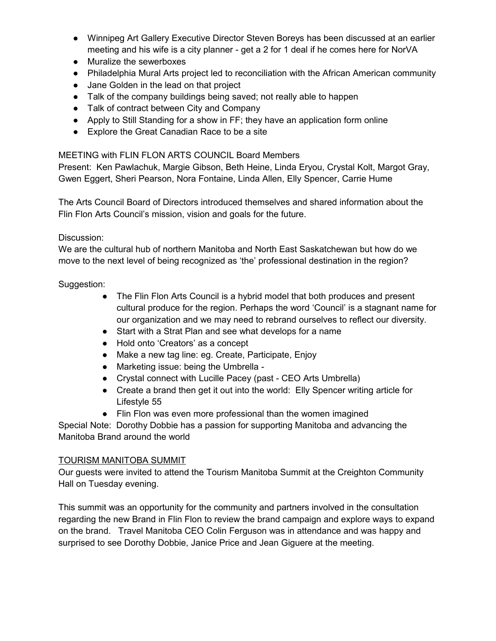- Winnipeg Art Gallery Executive Director Steven Boreys has been discussed at an earlier meeting and his wife is a city planner - get a 2 for 1 deal if he comes here for NorVA
- Muralize the sewerboxes
- Philadelphia Mural Arts project led to reconciliation with the African American community
- Jane Golden in the lead on that project
- Talk of the company buildings being saved; not really able to happen
- Talk of contract between City and Company
- Apply to Still Standing for a show in FF; they have an application form online
- Explore the Great Canadian Race to be a site

#### MEETING with FLIN FLON ARTS COUNCIL Board Members

Present: Ken Pawlachuk, Margie Gibson, Beth Heine, Linda Eryou, Crystal Kolt, Margot Gray, Gwen Eggert, Sheri Pearson, Nora Fontaine, Linda Allen, Elly Spencer, Carrie Hume

The Arts Council Board of Directors introduced themselves and shared information about the Flin Flon Arts Council's mission, vision and goals for the future.

#### Discussion:

We are the cultural hub of northern Manitoba and North East Saskatchewan but how do we move to the next level of being recognized as 'the' professional destination in the region?

#### Suggestion:

- The Flin Flon Arts Council is a hybrid model that both produces and present cultural produce for the region. Perhaps the word 'Council' is a stagnant name for our organization and we may need to rebrand ourselves to reflect our diversity.
- Start with a Strat Plan and see what develops for a name
- Hold onto 'Creators' as a concept
- Make a new tag line: eg. Create, Participate, Enjoy
- Marketing issue: being the Umbrella -
- Crystal connect with Lucille Pacey (past CEO Arts Umbrella)
- Create a brand then get it out into the world: Elly Spencer writing article for Lifestyle 55
- Flin Flon was even more professional than the women imagined

Special Note: Dorothy Dobbie has a passion for supporting Manitoba and advancing the Manitoba Brand around the world

#### TOURISM MANITOBA SUMMIT

Our guests were invited to attend the Tourism Manitoba Summit at the Creighton Community Hall on Tuesday evening.

This summit was an opportunity for the community and partners involved in the consultation regarding the new Brand in Flin Flon to review the brand campaign and explore ways to expand on the brand. Travel Manitoba CEO Colin Ferguson was in attendance and was happy and surprised to see Dorothy Dobbie, Janice Price and Jean Giguere at the meeting.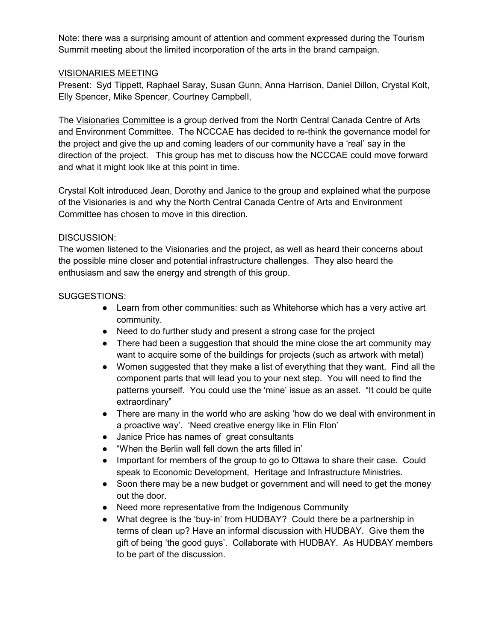Note: there was a surprising amount of attention and comment expressed during the Tourism Summit meeting about the limited incorporation of the arts in the brand campaign.

#### VISIONARIES MEETING

Present: Syd Tippett, Raphael Saray, Susan Gunn, Anna Harrison, Daniel Dillon, Crystal Kolt, Elly Spencer, Mike Spencer, Courtney Campbell,

The Visionaries Committee is a group derived from the North Central Canada Centre of Arts and Environment Committee. The NCCCAE has decided to re-think the governance model for the project and give the up and coming leaders of our community have a 'real' say in the direction of the project. This group has met to discuss how the NCCCAE could move forward and what it might look like at this point in time.

Crystal Kolt introduced Jean, Dorothy and Janice to the group and explained what the purpose of the Visionaries is and why the North Central Canada Centre of Arts and Environment Committee has chosen to move in this direction.

#### DISCUSSION:

The women listened to the Visionaries and the project, as well as heard their concerns about the possible mine closer and potential infrastructure challenges. They also heard the enthusiasm and saw the energy and strength of this group.

#### SUGGESTIONS:

- Learn from other communities: such as Whitehorse which has a very active art community.
- Need to do further study and present a strong case for the project
- There had been a suggestion that should the mine close the art community may want to acquire some of the buildings for projects (such as artwork with metal)
- Women suggested that they make a list of everything that they want. Find all the component parts that will lead you to your next step. You will need to find the patterns yourself. You could use the 'mine' issue as an asset. "It could be quite extraordinary"
- There are many in the world who are asking 'how do we deal with environment in a proactive way'. 'Need creative energy like in Flin Flon'
- Janice Price has names of great consultants
- "When the Berlin wall fell down the arts filled in'
- Important for members of the group to go to Ottawa to share their case. Could speak to Economic Development, Heritage and Infrastructure Ministries.
- Soon there may be a new budget or government and will need to get the money out the door.
- Need more representative from the Indigenous Community
- What degree is the 'buy-in' from HUDBAY? Could there be a partnership in terms of clean up? Have an informal discussion with HUDBAY. Give them the gift of being 'the good guys'. Collaborate with HUDBAY. As HUDBAY members to be part of the discussion.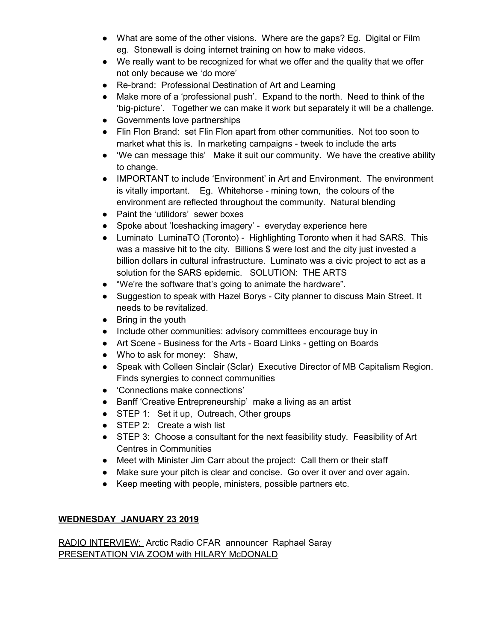- What are some of the other visions. Where are the gaps? Eg. Digital or Film eg. Stonewall is doing internet training on how to make videos.
- We really want to be recognized for what we offer and the quality that we offer not only because we 'do more'
- Re-brand: Professional Destination of Art and Learning
- Make more of a 'professional push'. Expand to the north. Need to think of the 'big-picture'. Together we can make it work but separately it will be a challenge.
- Governments love partnerships
- Flin Flon Brand: set Flin Flon apart from other communities. Not too soon to market what this is. In marketing campaigns - tweek to include the arts
- 'We can message this' Make it suit our community. We have the creative ability to change.
- IMPORTANT to include 'Environment' in Art and Environment. The environment is vitally important. Eg. Whitehorse - mining town, the colours of the environment are reflected throughout the community. Natural blending
- Paint the 'utilidors' sewer boxes
- Spoke about 'Iceshacking imagery' everyday experience here
- Luminato LuminaTO (Toronto) Highlighting Toronto when it had SARS. This was a massive hit to the city. Billions \$ were lost and the city just invested a billion dollars in cultural infrastructure. Luminato was a civic project to act as a solution for the SARS epidemic. SOLUTION: THE ARTS
- "We're the software that's going to animate the hardware".
- Suggestion to speak with Hazel Borys City planner to discuss Main Street. It needs to be revitalized.
- Bring in the youth
- Include other communities: advisory committees encourage buy in
- Art Scene Business for the Arts Board Links getting on Boards
- Who to ask for money: Shaw,
- Speak with Colleen Sinclair (Sclar) Executive Director of MB Capitalism Region. Finds synergies to connect communities
- 'Connections make connections'
- Banff 'Creative Entrepreneurship' make a living as an artist
- STEP 1: Set it up, Outreach, Other groups
- STEP 2: Create a wish list
- STEP 3: Choose a consultant for the next feasibility study. Feasibility of Art Centres in Communities
- Meet with Minister Jim Carr about the project: Call them or their staff
- Make sure your pitch is clear and concise. Go over it over and over again.
- Keep meeting with people, ministers, possible partners etc.

#### **WEDNESDAY JANUARY 23 2019**

RADIO INTERVIEW: Arctic Radio CFAR announcer Raphael Saray PRESENTATION VIA ZOOM with HILARY McDONALD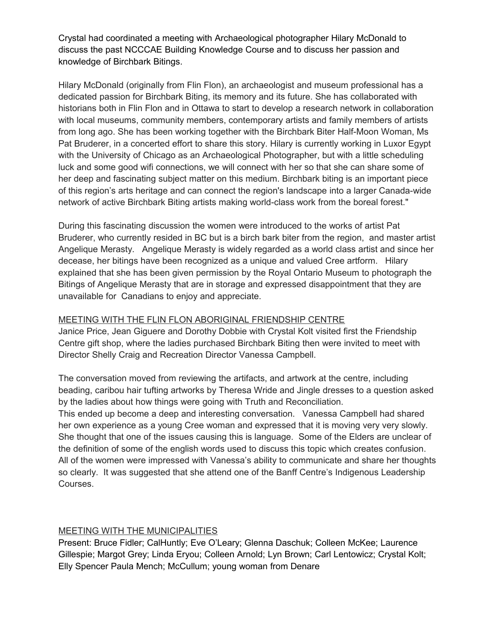Crystal had coordinated a meeting with Archaeological photographer Hilary McDonald to discuss the past NCCCAE Building Knowledge Course and to discuss her passion and knowledge of Birchbark Bitings.

Hilary McDonald (originally from Flin Flon), an archaeologist and museum professional has a dedicated passion for Birchbark Biting, its memory and its future. She has collaborated with historians both in Flin Flon and in Ottawa to start to develop a research network in collaboration with local museums, community members, contemporary artists and family members of artists from long ago. She has been working together with the Birchbark Biter Half-Moon Woman, Ms Pat Bruderer, in a concerted effort to share this story. Hilary is currently working in Luxor Egypt with the University of Chicago as an Archaeological Photographer, but with a little scheduling luck and some good wifi connections, we will connect with her so that she can share some of her deep and fascinating subject matter on this medium. Birchbark biting is an important piece of this region's arts heritage and can connect the region's landscape into a larger Canada-wide network of active Birchbark Biting artists making world-class work from the boreal forest."

During this fascinating discussion the women were introduced to the works of artist Pat Bruderer, who currently resided in BC but is a birch bark biter from the region, and master artist Angelique Merasty. Angelique Merasty is widely regarded as a world class artist and since her decease, her bitings have been recognized as a unique and valued Cree artform. Hilary explained that she has been given permission by the Royal Ontario Museum to photograph the Bitings of Angelique Merasty that are in storage and expressed disappointment that they are unavailable for Canadians to enjoy and appreciate.

#### MEETING WITH THE FLIN FLON ABORIGINAL FRIENDSHIP CENTRE

Janice Price, Jean Giguere and Dorothy Dobbie with Crystal Kolt visited first the Friendship Centre gift shop, where the ladies purchased Birchbark Biting then were invited to meet with Director Shelly Craig and Recreation Director Vanessa Campbell.

The conversation moved from reviewing the artifacts, and artwork at the centre, including beading, caribou hair tufting artworks by Theresa Wride and Jingle dresses to a question asked by the ladies about how things were going with Truth and Reconciliation.

This ended up become a deep and interesting conversation. Vanessa Campbell had shared her own experience as a young Cree woman and expressed that it is moving very very slowly. She thought that one of the issues causing this is language. Some of the Elders are unclear of the definition of some of the english words used to discuss this topic which creates confusion. All of the women were impressed with Vanessa's ability to communicate and share her thoughts so clearly. It was suggested that she attend one of the Banff Centre's Indigenous Leadership Courses.

#### MEETING WITH THE MUNICIPALITIES

Present: Bruce Fidler; CalHuntly; Eve O'Leary; Glenna Daschuk; Colleen McKee; Laurence Gillespie; Margot Grey; Linda Eryou; Colleen Arnold; Lyn Brown; Carl Lentowicz; Crystal Kolt; Elly Spencer Paula Mench; McCullum; young woman from Denare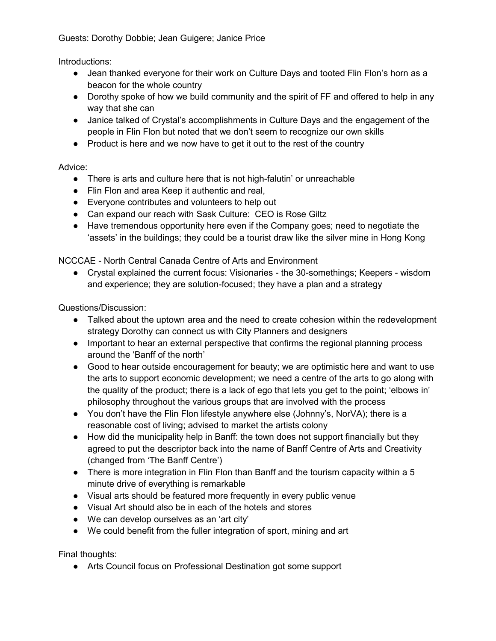Guests: Dorothy Dobbie; Jean Guigere; Janice Price

Introductions:

- Jean thanked everyone for their work on Culture Days and tooted Flin Flon's horn as a beacon for the whole country
- Dorothy spoke of how we build community and the spirit of FF and offered to help in any way that she can
- Janice talked of Crystal's accomplishments in Culture Days and the engagement of the people in Flin Flon but noted that we don't seem to recognize our own skills
- Product is here and we now have to get it out to the rest of the country

## Advice:

- There is arts and culture here that is not high-falutin' or unreachable
- Flin Flon and area Keep it authentic and real,
- Everyone contributes and volunteers to help out
- Can expand our reach with Sask Culture: CEO is Rose Giltz
- Have tremendous opportunity here even if the Company goes; need to negotiate the 'assets' in the buildings; they could be a tourist draw like the silver mine in Hong Kong

NCCCAE - North Central Canada Centre of Arts and Environment

● Crystal explained the current focus: Visionaries - the 30-somethings; Keepers - wisdom and experience; they are solution-focused; they have a plan and a strategy

Questions/Discussion:

- Talked about the uptown area and the need to create cohesion within the redevelopment strategy Dorothy can connect us with City Planners and designers
- Important to hear an external perspective that confirms the regional planning process around the 'Banff of the north'
- Good to hear outside encouragement for beauty; we are optimistic here and want to use the arts to support economic development; we need a centre of the arts to go along with the quality of the product; there is a lack of ego that lets you get to the point; 'elbows in' philosophy throughout the various groups that are involved with the process
- You don't have the Flin Flon lifestyle anywhere else (Johnny's, NorVA); there is a reasonable cost of living; advised to market the artists colony
- How did the municipality help in Banff: the town does not support financially but they agreed to put the descriptor back into the name of Banff Centre of Arts and Creativity (changed from 'The Banff Centre')
- There is more integration in Flin Flon than Banff and the tourism capacity within a 5 minute drive of everything is remarkable
- Visual arts should be featured more frequently in every public venue
- Visual Art should also be in each of the hotels and stores
- We can develop ourselves as an 'art city'
- We could benefit from the fuller integration of sport, mining and art

Final thoughts:

● Arts Council focus on Professional Destination got some support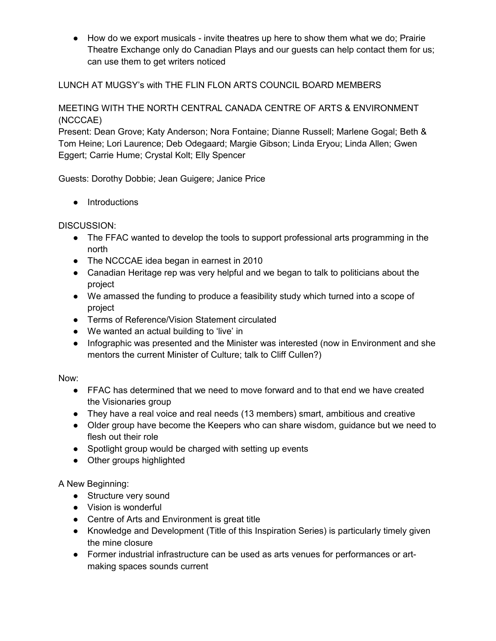● How do we export musicals - invite theatres up here to show them what we do; Prairie Theatre Exchange only do Canadian Plays and our guests can help contact them for us; can use them to get writers noticed

#### LUNCH AT MUGSY's with THE FLIN FLON ARTS COUNCIL BOARD MEMBERS

## MEETING WITH THE NORTH CENTRAL CANADA CENTRE OF ARTS & ENVIRONMENT (NCCCAE)

Present: Dean Grove; Katy Anderson; Nora Fontaine; Dianne Russell; Marlene Gogal; Beth & Tom Heine; Lori Laurence; Deb Odegaard; Margie Gibson; Linda Eryou; Linda Allen; Gwen Eggert; Carrie Hume; Crystal Kolt; Elly Spencer

Guests: Dorothy Dobbie; Jean Guigere; Janice Price

● Introductions

DISCUSSION:

- The FFAC wanted to develop the tools to support professional arts programming in the north
- The NCCCAE idea began in earnest in 2010
- Canadian Heritage rep was very helpful and we began to talk to politicians about the project
- We amassed the funding to produce a feasibility study which turned into a scope of project
- Terms of Reference/Vision Statement circulated
- We wanted an actual building to 'live' in
- Infographic was presented and the Minister was interested (now in Environment and she mentors the current Minister of Culture; talk to Cliff Cullen?)

Now:

- FFAC has determined that we need to move forward and to that end we have created the Visionaries group
- They have a real voice and real needs (13 members) smart, ambitious and creative
- Older group have become the Keepers who can share wisdom, guidance but we need to flesh out their role
- Spotlight group would be charged with setting up events
- Other groups highlighted

A New Beginning:

- Structure very sound
- Vision is wonderful
- Centre of Arts and Environment is great title
- Knowledge and Development (Title of this Inspiration Series) is particularly timely given the mine closure
- Former industrial infrastructure can be used as arts venues for performances or artmaking spaces sounds current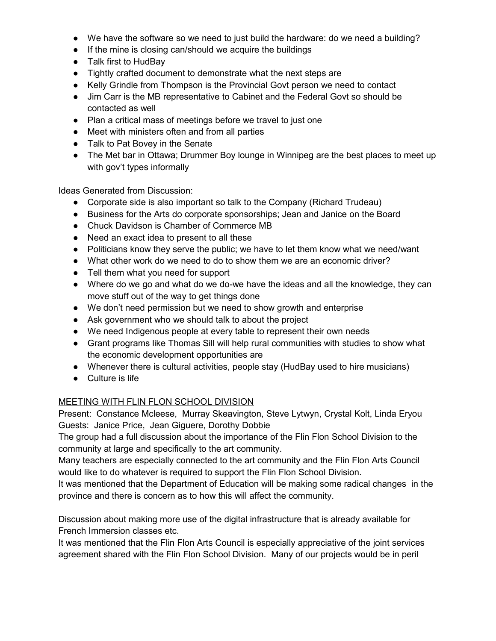- We have the software so we need to just build the hardware: do we need a building?
- If the mine is closing can/should we acquire the buildings
- Talk first to HudBay
- Tightly crafted document to demonstrate what the next steps are
- Kelly Grindle from Thompson is the Provincial Govt person we need to contact
- Jim Carr is the MB representative to Cabinet and the Federal Govt so should be contacted as well
- Plan a critical mass of meetings before we travel to just one
- Meet with ministers often and from all parties
- Talk to Pat Bovey in the Senate
- The Met bar in Ottawa; Drummer Boy lounge in Winnipeg are the best places to meet up with gov't types informally

Ideas Generated from Discussion:

- Corporate side is also important so talk to the Company (Richard Trudeau)
- Business for the Arts do corporate sponsorships; Jean and Janice on the Board
- Chuck Davidson is Chamber of Commerce MB
- Need an exact idea to present to all these
- Politicians know they serve the public; we have to let them know what we need/want
- What other work do we need to do to show them we are an economic driver?
- Tell them what you need for support
- Where do we go and what do we do-we have the ideas and all the knowledge, they can move stuff out of the way to get things done
- We don't need permission but we need to show growth and enterprise
- Ask government who we should talk to about the project
- We need Indigenous people at every table to represent their own needs
- Grant programs like Thomas Sill will help rural communities with studies to show what the economic development opportunities are
- Whenever there is cultural activities, people stay (HudBay used to hire musicians)
- Culture is life

#### MEETING WITH FLIN FLON SCHOOL DIVISION

Present: Constance Mcleese, Murray Skeavington, Steve Lytwyn, Crystal Kolt, Linda Eryou Guests: Janice Price, Jean Giguere, Dorothy Dobbie

The group had a full discussion about the importance of the Flin Flon School Division to the community at large and specifically to the art community.

Many teachers are especially connected to the art community and the Flin Flon Arts Council would like to do whatever is required to support the Flin Flon School Division.

It was mentioned that the Department of Education will be making some radical changes in the province and there is concern as to how this will affect the community.

Discussion about making more use of the digital infrastructure that is already available for French Immersion classes etc.

It was mentioned that the Flin Flon Arts Council is especially appreciative of the joint services agreement shared with the Flin Flon School Division. Many of our projects would be in peril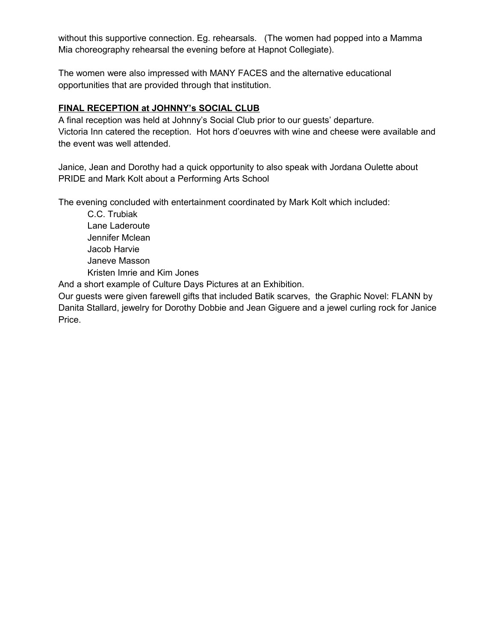without this supportive connection. Eg. rehearsals. (The women had popped into a Mamma Mia choreography rehearsal the evening before at Hapnot Collegiate).

The women were also impressed with MANY FACES and the alternative educational opportunities that are provided through that institution.

#### **FINAL RECEPTION at JOHNNY's SOCIAL CLUB**

A final reception was held at Johnny's Social Club prior to our guests' departure. Victoria Inn catered the reception. Hot hors d'oeuvres with wine and cheese were available and the event was well attended.

Janice, Jean and Dorothy had a quick opportunity to also speak with Jordana Oulette about PRIDE and Mark Kolt about a Performing Arts School

The evening concluded with entertainment coordinated by Mark Kolt which included:

C.C. Trubiak Lane Laderoute Jennifer Mclean Jacob Harvie Janeve Masson Kristen Imrie and Kim Jones

And a short example of Culture Days Pictures at an Exhibition.

Our guests were given farewell gifts that included Batik scarves, the Graphic Novel: FLANN by Danita Stallard, jewelry for Dorothy Dobbie and Jean Giguere and a jewel curling rock for Janice Price.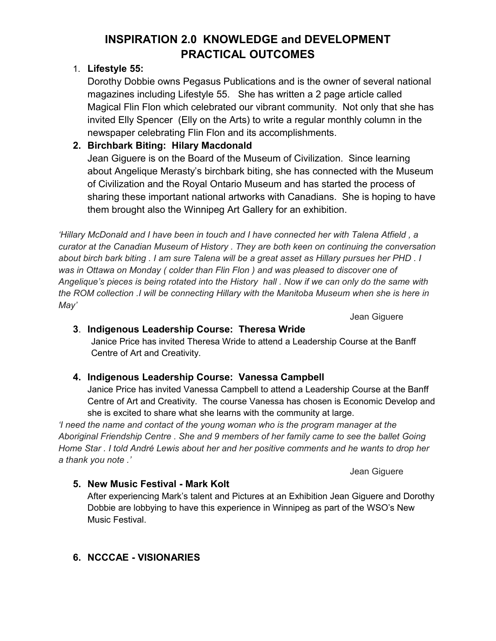# **INSPIRATION 2.0 KNOWLEDGE and DEVELOPMENT PRACTICAL OUTCOMES**

# 1. **Lifestyle 55:**

Dorothy Dobbie owns Pegasus Publications and is the owner of several national magazines including Lifestyle 55. She has written a 2 page article called Magical Flin Flon which celebrated our vibrant community. Not only that she has invited Elly Spencer (Elly on the Arts) to write a regular monthly column in the newspaper celebrating Flin Flon and its accomplishments.

# **2. Birchbark Biting: Hilary Macdonald**

Jean Giguere is on the Board of the Museum of Civilization. Since learning about Angelique Merasty's birchbark biting, she has connected with the Museum of Civilization and the Royal Ontario Museum and has started the process of sharing these important national artworks with Canadians. She is hoping to have them brought also the Winnipeg Art Gallery for an exhibition.

*'Hillary McDonald and I have been in touch and I have connected her with Talena Atfield , a curator at the Canadian Museum of History . They are both keen on continuing the conversation about birch bark biting . I am sure Talena will be a great asset as Hillary pursues her PHD . I*  was in Ottawa on Monday ( colder than Flin Flon ) and was pleased to discover one of *Angelique's pieces is being rotated into the History hall . Now if we can only do the same with the ROM collection .I will be connecting Hillary with the Manitoba Museum when she is here in May'*

Jean Giguere

# **3**. **Indigenous Leadership Course: Theresa Wride**

Janice Price has invited Theresa Wride to attend a Leadership Course at the Banff Centre of Art and Creativity.

# **4. Indigenous Leadership Course: Vanessa Campbell**

Janice Price has invited Vanessa Campbell to attend a Leadership Course at the Banff Centre of Art and Creativity. The course Vanessa has chosen is Economic Develop and she is excited to share what she learns with the community at large.

*'I need the name and contact of the young woman who is the program manager at the Aboriginal Friendship Centre . She and 9 members of her family came to see the ballet Going Home Star . I told André Lewis about her and her positive comments and he wants to drop her a thank you note .'*

Jean Giguere

# **5. New Music Festival - Mark Kolt**

After experiencing Mark's talent and Pictures at an Exhibition Jean Giguere and Dorothy Dobbie are lobbying to have this experience in Winnipeg as part of the WSO's New Music Festival.

# **6. NCCCAE - VISIONARIES**